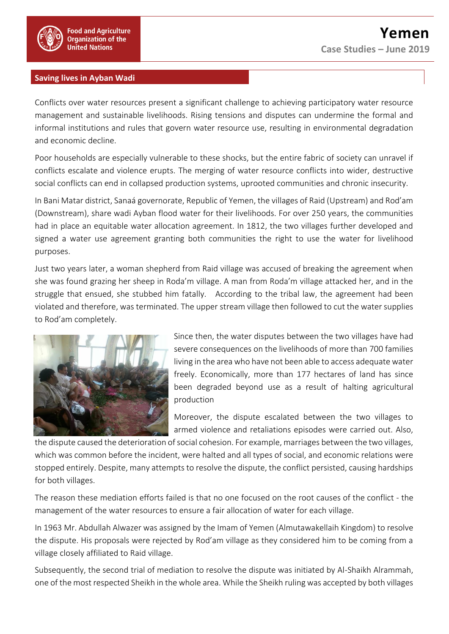

## **Saving lives in Ayban Wadi**

Conflicts over water resources present a significant challenge to achieving participatory water resource management and sustainable livelihoods. Rising tensions and disputes can undermine the formal and informal institutions and rules that govern water resource use, resulting in environmental degradation and economic decline.

Poor households are especially vulnerable to these shocks, but the entire fabric of society can unravel if conflicts escalate and violence erupts. The merging of water resource conflicts into wider, destructive social conflicts can end in collapsed production systems, uprooted communities and chronic insecurity.

In Bani Matar district, Sanaá governorate, Republic of Yemen, the villages of Raid (Upstream) and Rod'am (Downstream), share wadi Ayban flood water for their livelihoods. For over 250 years, the communities had in place an equitable water allocation agreement. In 1812, the two villages further developed and signed a water use agreement granting both communities the right to use the water for livelihood purposes.

Just two years later, a woman shepherd from Raid village was accused of breaking the agreement when she was found grazing her sheep in Roda'm village. A man from Roda'm village attacked her, and in the struggle that ensued, she stubbed him fatally. According to the tribal law, the agreement had been violated and therefore, was terminated. The upper stream village then followed to cut the water supplies to Rod'am completely.



Since then, the water disputes between the two villages have had severe consequences on the livelihoods of more than 700 families living in the area who have not been able to access adequate water freely. Economically, more than 177 hectares of land has since been degraded beyond use as a result of halting agricultural production

Moreover, the dispute escalated between the two villages to armed violence and retaliations episodes were carried out. Also,

the dispute caused the deterioration of social cohesion. For example, marriages between the two villages, which was common before the incident, were halted and all types of social, and economic relations were stopped entirely. Despite, many attempts to resolve the dispute, the conflict persisted, causing hardships for both villages.

The reason these mediation efforts failed is that no one focused on the root causes of the conflict - the management of the water resources to ensure a fair allocation of water for each village.

In 1963 Mr. Abdullah Alwazer was assigned by the Imam of Yemen (Almutawakellaih Kingdom) to resolve the dispute. His proposals were rejected by Rod'am village as they considered him to be coming from a village closely affiliated to Raid village.

Subsequently, the second trial of mediation to resolve the dispute was initiated by Al-Shaikh Alrammah, one of the most respected Sheikh in the whole area. While the Sheikh ruling was accepted by both villages